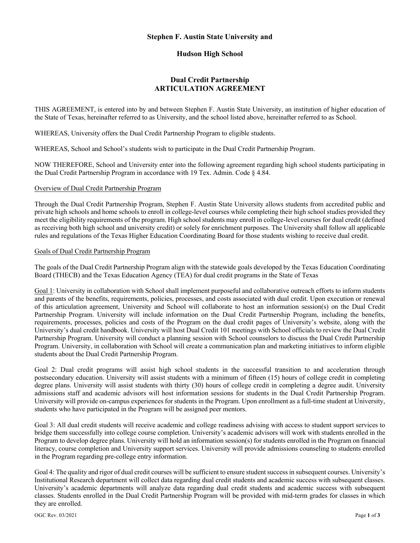### **Stephen F. Austin State University and**

# **Hudson High School**

# **Dual Credit Partnership ARTICULATION AGREEMENT**

THIS AGREEMENT, is entered into by and between Stephen F. Austin State University, an institution of higher education of the State of Texas, hereinafter referred to as University, and the school listed above, hereinafter referred to as School.

WHEREAS, University offers the Dual Credit Partnership Program to eligible students.

WHEREAS, School and School's students wish to participate in the Dual Credit Partnership Program.

NOW THEREFORE, School and University enter into the following agreement regarding high school students participating in the Dual Credit Partnership Program in accordance with 19 Tex. Admin. Code § 4.84.

### Overview of Dual Credit Partnership Program

Through the Dual Credit Partnership Program, Stephen F. Austin State University allows students from accredited public and private high schools and home schools to enroll in college-level courses while completing their high school studies provided they meet the eligibility requirements of the program. High school students may enroll in college-level courses for dual credit (defined as receiving both high school and university credit) or solely for enrichment purposes. The University shall follow all applicable rules and regulations of the Texas Higher Education Coordinating Board for those students wishing to receive dual credit.

### Goals of Dual Credit Partnership Program

The goals of the Dual Credit Partnership Program align with the statewide goals developed by the Texas Education Coordinating Board (THECB) and the Texas Education Agency (TEA) for dual credit programs in the State of Texas

Goal 1: University in collaboration with School shall implement purposeful and collaborative outreach efforts to inform students and parents of the benefits, requirements, policies, processes, and costs associated with dual credit. Upon execution or renewal of this articulation agreement, University and School will collaborate to host an information session(s) on the Dual Credit Partnership Program. University will include information on the Dual Credit Partnership Program, including the benefits, requirements, processes, policies and costs of the Program on the dual credit pages of University's website, along with the University's dual credit handbook. University will host Dual Credit 101 meetings with School officials to review the Dual Credit Partnership Program. University will conduct a planning session with School counselors to discuss the Dual Credit Partnership Program. University, in collaboration with School will create a communication plan and marketing initiatives to inform eligible students about the Dual Credit Partnership Program.

Goal 2: Dual credit programs will assist high school students in the successful transition to and acceleration through postsecondary education. University will assist students with a minimum of fifteen (15) hours of college credit in completing degree plans. University will assist students with thirty (30) hours of college credit in completing a degree audit. University admissions staff and academic advisors will host information sessions for students in the Dual Credit Partnership Program. University will provide on-campus experiences for students in the Program. Upon enrollment as a full-time student at University, students who have participated in the Program will be assigned peer mentors.

Goal 3: All dual credit students will receive academic and college readiness advising with access to student support services to bridge them successfully into college course completion. University's academic advisors will work with students enrolled in the Program to develop degree plans. University will hold an information session(s) for students enrolled in the Program on financial literacy, course completion and University support services. University will provide admissions counseling to students enrolled in the Program regarding pre-college entry information.

Goal 4: The quality and rigor of dual credit courses will be sufficient to ensure student success in subsequent courses. University's Institutional Research department will collect data regarding dual credit students and academic success with subsequent classes. University's academic departments will analyze data regarding dual credit students and academic success with subsequent classes. Students enrolled in the Dual Credit Partnership Program will be provided with mid-term grades for classes in which they are enrolled.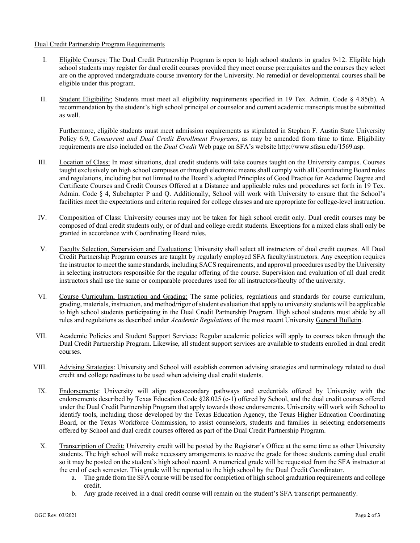### Dual Credit Partnership Program Requirements

- I. Eligible Courses: The Dual Credit Partnership Program is open to high school students in grades 9-12. Eligible high school students may register for dual credit courses provided they meet course prerequisites and the courses they select are on the approved undergraduate course inventory for the University. No remedial or developmental courses shall be eligible under this program.
- II. Student Eligibility: Students must meet all eligibility requirements specified in 19 Tex. Admin. Code § 4.85(b). A recommendation by the student's high school principal or counselor and current academic transcripts must be submitted as well.

Furthermore, eligible students must meet admission requirements as stipulated in Stephen F. Austin State University Policy 6.9, *Concurrent and Dual Credit Enrollment Programs*, as may be amended from time to time. Eligibility requirements are also included on the *Dual Credit* Web page on SFA's website http://www.sfasu.edu/1569.asp.

- III. Location of Class: In most situations, dual credit students will take courses taught on the University campus. Courses taught exclusively on high school campuses or through electronic means shall comply with all Coordinating Board rules and regulations, including but not limited to the Board's adopted Principles of Good Practice for Academic Degree and Certificate Courses and Credit Courses Offered at a Distance and applicable rules and procedures set forth in 19 Tex. Admin. Code § 4, Subchapter P and Q. Additionally, School will work with University to ensure that the School's facilities meet the expectations and criteria required for college classes and are appropriate for college-level instruction.
- IV. Composition of Class: University courses may not be taken for high school credit only. Dual credit courses may be composed of dual credit students only, or of dual and college credit students. Exceptions for a mixed class shall only be granted in accordance with Coordinating Board rules.
- V. Faculty Selection, Supervision and Evaluations: University shall select all instructors of dual credit courses. All Dual Credit Partnership Program courses are taught by regularly employed SFA faculty/instructors. Any exception requires the instructor to meet the same standards, including SACS requirements, and approval procedures used by the University in selecting instructors responsible for the regular offering of the course. Supervision and evaluation of all dual credit instructors shall use the same or comparable procedures used for all instructors/faculty of the university.
- VI. Course Curriculum, Instruction and Grading: The same policies, regulations and standards for course curriculum, grading, materials, instruction, and method/rigor of student evaluation that apply to university students will be applicable to high school students participating in the Dual Credit Partnership Program. High school students must abide by all rules and regulations as described under *Academic Regulations* of the most recent University General Bulletin.
- VII. Academic Policies and Student Support Services: Regular academic policies will apply to courses taken through the Dual Credit Partnership Program. Likewise, all student support services are available to students enrolled in dual credit courses.
- VIII. Advising Strategies: University and School will establish common advising strategies and terminology related to dual credit and college readiness to be used when advising dual credit students.
- IX. Endorsements: University will align postsecondary pathways and credentials offered by University with the endorsements described by Texas Education Code §28.025 (c-1) offered by School, and the dual credit courses offered under the Dual Credit Partnership Program that apply towards those endorsements. University will work with School to identify tools, including those developed by the Texas Education Agency, the Texas Higher Education Coordinating Board, or the Texas Workforce Commission, to assist counselors, students and families in selecting endorsements offered by School and dual credit courses offered as part of the Dual Credit Partnership Program.
- X. Transcription of Credit: University credit will be posted by the Registrar's Office at the same time as other University students. The high school will make necessary arrangements to receive the grade for those students earning dual credit so it may be posted on the student's high school record. A numerical grade will be requested from the SFA instructor at the end of each semester. This grade will be reported to the high school by the Dual Credit Coordinator.
	- a. The grade from the SFA course will be used for completion of high school graduation requirements and college credit.
	- b. Any grade received in a dual credit course will remain on the student's SFA transcript permanently.